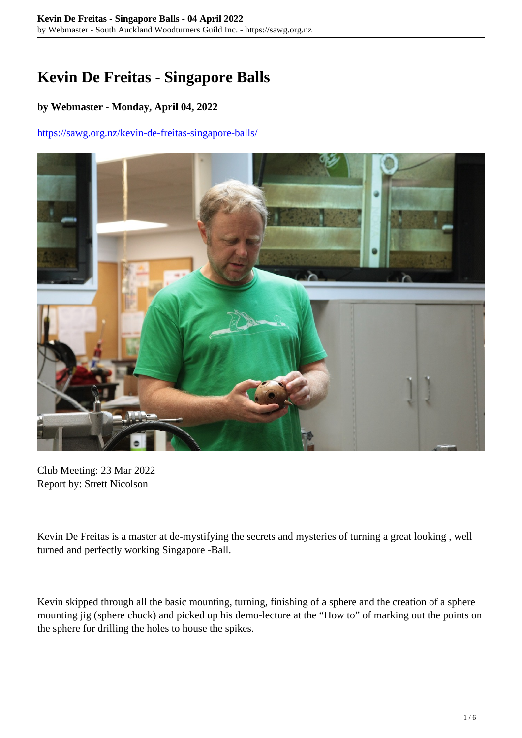## **Kevin De Freitas - Singapore Balls**

## **by Webmaster - Monday, April 04, 2022**

## <https://sawg.org.nz/kevin-de-freitas-singapore-balls/>



Club Meeting: 23 Mar 2022 Report by: Strett Nicolson

Kevin De Freitas is a master at de-mystifying the secrets and mysteries of turning a great looking , well turned and perfectly working Singapore -Ball.

Kevin skipped through all the basic mounting, turning, finishing of a sphere and the creation of a sphere mounting jig (sphere chuck) and picked up his demo-lecture at the "How to" of marking out the points on the sphere for drilling the holes to house the spikes.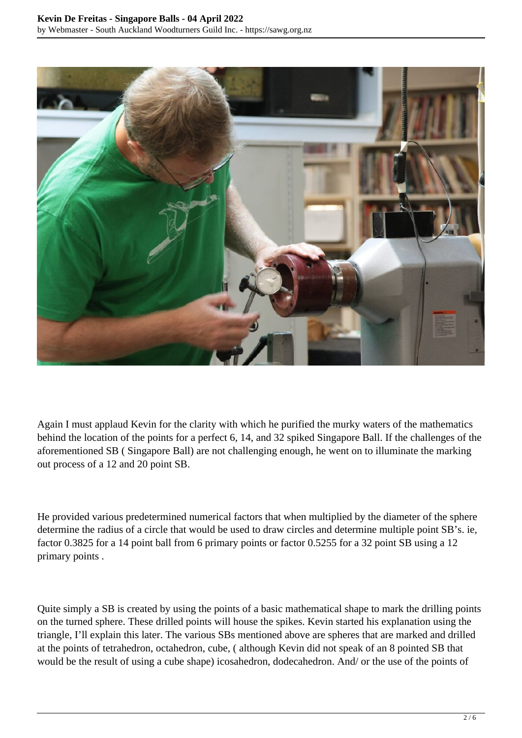

Again I must applaud Kevin for the clarity with which he purified the murky waters of the mathematics behind the location of the points for a perfect 6, 14, and 32 spiked Singapore Ball. If the challenges of the aforementioned SB ( Singapore Ball) are not challenging enough, he went on to illuminate the marking out process of a 12 and 20 point SB.

He provided various predetermined numerical factors that when multiplied by the diameter of the sphere determine the radius of a circle that would be used to draw circles and determine multiple point SB's. ie, factor 0.3825 for a 14 point ball from 6 primary points or factor 0.5255 for a 32 point SB using a 12 primary points .

Quite simply a SB is created by using the points of a basic mathematical shape to mark the drilling points on the turned sphere. These drilled points will house the spikes. Kevin started his explanation using the triangle, I'll explain this later. The various SBs mentioned above are spheres that are marked and drilled at the points of tetrahedron, octahedron, cube, ( although Kevin did not speak of an 8 pointed SB that would be the result of using a cube shape) icosahedron, dodecahedron. And/ or the use of the points of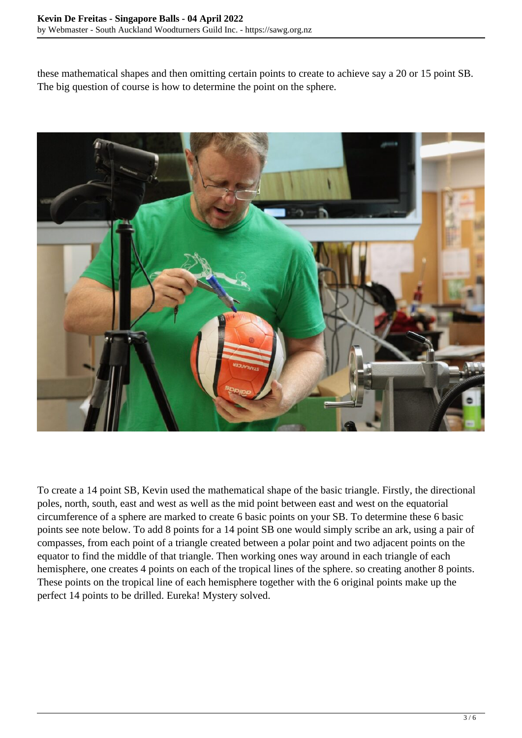these mathematical shapes and then omitting certain points to create to achieve say a 20 or 15 point SB. The big question of course is how to determine the point on the sphere.



To create a 14 point SB, Kevin used the mathematical shape of the basic triangle. Firstly, the directional poles, north, south, east and west as well as the mid point between east and west on the equatorial circumference of a sphere are marked to create 6 basic points on your SB. To determine these 6 basic points see note below. To add 8 points for a 14 point SB one would simply scribe an ark, using a pair of compasses, from each point of a triangle created between a polar point and two adjacent points on the equator to find the middle of that triangle. Then working ones way around in each triangle of each hemisphere, one creates 4 points on each of the tropical lines of the sphere. so creating another 8 points. These points on the tropical line of each hemisphere together with the 6 original points make up the perfect 14 points to be drilled. Eureka! Mystery solved.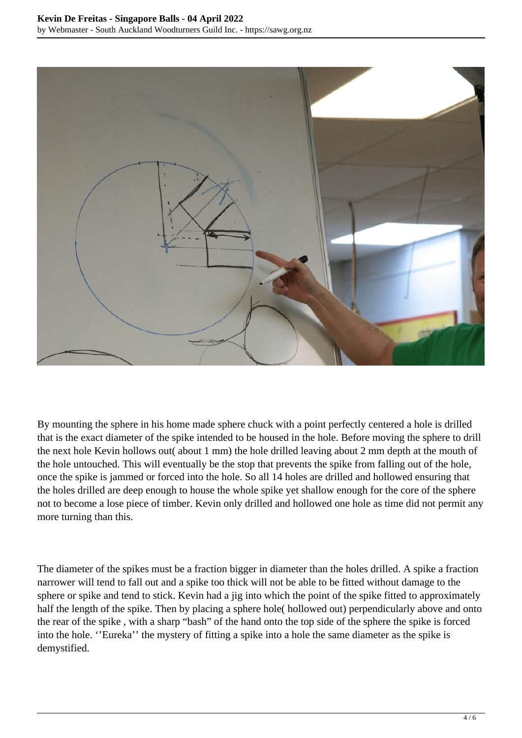

By mounting the sphere in his home made sphere chuck with a point perfectly centered a hole is drilled that is the exact diameter of the spike intended to be housed in the hole. Before moving the sphere to drill the next hole Kevin hollows out( about 1 mm) the hole drilled leaving about 2 mm depth at the mouth of the hole untouched. This will eventually be the stop that prevents the spike from falling out of the hole, once the spike is jammed or forced into the hole. So all 14 holes are drilled and hollowed ensuring that the holes drilled are deep enough to house the whole spike yet shallow enough for the core of the sphere not to become a lose piece of timber. Kevin only drilled and hollowed one hole as time did not permit any more turning than this.

The diameter of the spikes must be a fraction bigger in diameter than the holes drilled. A spike a fraction narrower will tend to fall out and a spike too thick will not be able to be fitted without damage to the sphere or spike and tend to stick. Kevin had a jig into which the point of the spike fitted to approximately half the length of the spike. Then by placing a sphere hole( hollowed out) perpendicularly above and onto the rear of the spike , with a sharp "bash" of the hand onto the top side of the sphere the spike is forced into the hole. ''Eureka'' the mystery of fitting a spike into a hole the same diameter as the spike is demystified.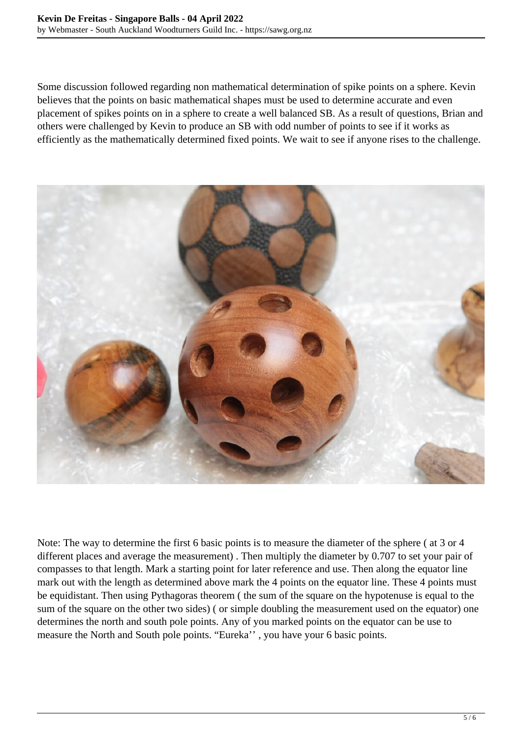Some discussion followed regarding non mathematical determination of spike points on a sphere. Kevin believes that the points on basic mathematical shapes must be used to determine accurate and even placement of spikes points on in a sphere to create a well balanced SB. As a result of questions, Brian and others were challenged by Kevin to produce an SB with odd number of points to see if it works as efficiently as the mathematically determined fixed points. We wait to see if anyone rises to the challenge.



Note: The way to determine the first 6 basic points is to measure the diameter of the sphere ( at 3 or 4 different places and average the measurement) . Then multiply the diameter by 0.707 to set your pair of compasses to that length. Mark a starting point for later reference and use. Then along the equator line mark out with the length as determined above mark the 4 points on the equator line. These 4 points must be equidistant. Then using Pythagoras theorem ( the sum of the square on the hypotenuse is equal to the sum of the square on the other two sides) ( or simple doubling the measurement used on the equator) one determines the north and south pole points. Any of you marked points on the equator can be use to measure the North and South pole points. "Eureka'' , you have your 6 basic points.